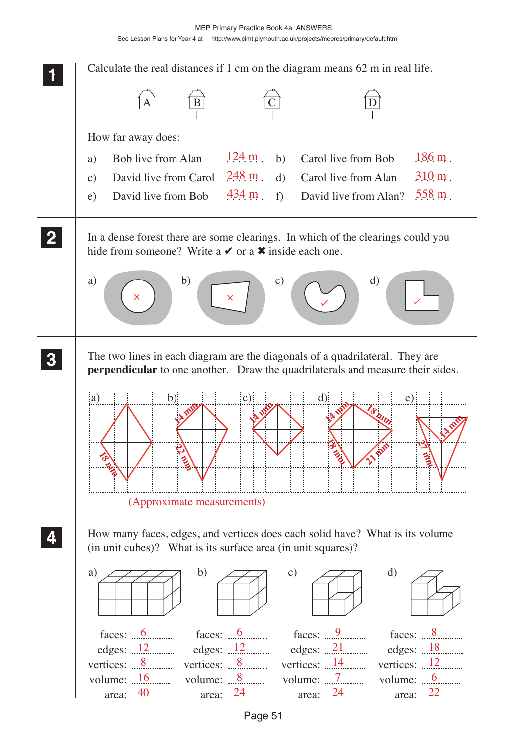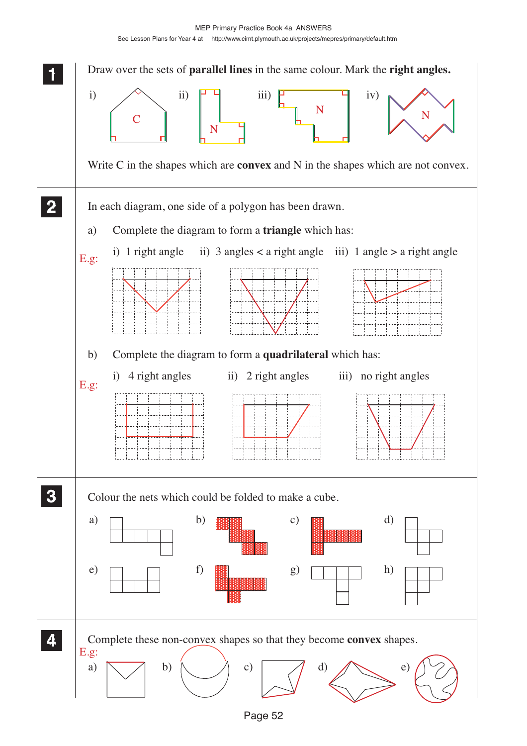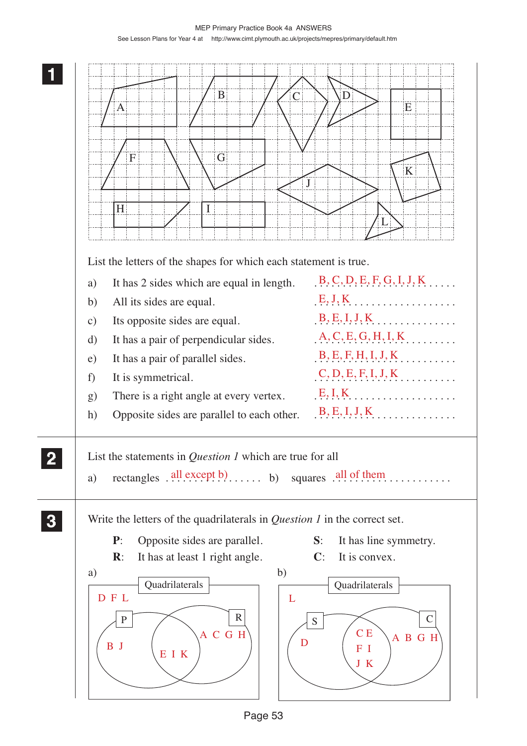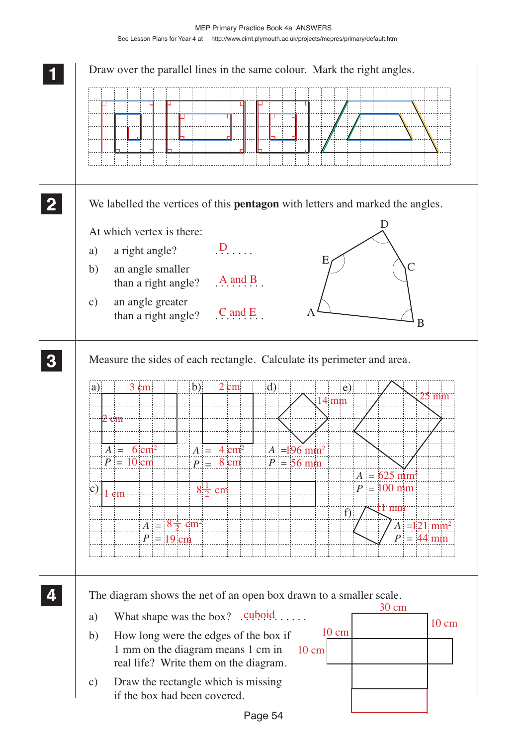| We labelled the vertices of this <b>pentagon</b> with letters and marked the angles. |              |                      |    |                             |                 |              |                           |                                          |       |
|--------------------------------------------------------------------------------------|--------------|----------------------|----|-----------------------------|-----------------|--------------|---------------------------|------------------------------------------|-------|
| At which vertex is there:                                                            |              |                      |    |                             |                 | $\mathsf{I}$ |                           |                                          |       |
| a right angle?<br>a)                                                                 |              | $D_{\ldots}$         |    |                             |                 |              |                           |                                          |       |
| an angle smaller<br>b)                                                               |              |                      |    | E                           |                 |              | C                         |                                          |       |
| than a right angle?                                                                  |              | $A$ and $B$          |    |                             |                 |              |                           |                                          |       |
| an angle greater<br>$\mathbf{c})$<br>than a right angle?                             |              | $C$ and $E$          |    | Α                           |                 |              |                           |                                          |       |
|                                                                                      |              |                      |    |                             |                 |              |                           | B                                        |       |
|                                                                                      |              |                      |    |                             |                 |              |                           |                                          |       |
| Measure the sides of each rectangle. Calculate its perimeter and area.               |              |                      |    |                             |                 |              |                           |                                          |       |
| 3 cm<br>a)                                                                           | $\mathbf{b}$ | $2 \text{ cm}$       | d) |                             | e)              |              |                           | $25 \text{ mm}$                          |       |
| $2$ cm                                                                               |              |                      |    |                             | $14 \text{ mm}$ |              |                           |                                          |       |
|                                                                                      |              |                      |    |                             |                 |              |                           |                                          |       |
| $A = 6 \text{ cm}^2$                                                                 |              | $A = 4 \text{ cm}^2$ |    | $ A  = 196$ mm <sup>2</sup> |                 |              |                           |                                          |       |
| $P = 10$ cm                                                                          |              | $P = 8 \text{ cm}$   |    | $P = 56$ mm                 |                 |              | $A = 625$ mm <sup>2</sup> |                                          |       |
| $c)$ $\vert$ 1 cm                                                                    |              | $8\frac{1}{2}$ cm    |    |                             |                 |              | $P = 100$ mm              |                                          |       |
|                                                                                      |              |                      |    |                             | $\mathbf{f}$    |              | l 1 mm                    |                                          |       |
| $A = 8\frac{1}{2}$ cm <sup>2</sup>                                                   |              |                      |    |                             |                 |              |                           | $A = 121$ mm <sup>2</sup><br>$P = 44$ mm |       |
| $P = 19$ cm                                                                          |              |                      |    |                             |                 |              |                           |                                          |       |
|                                                                                      |              |                      |    |                             |                 |              |                           |                                          |       |
| The diagram shows the net of an open box drawn to a smaller scale.                   |              |                      |    |                             |                 |              |                           |                                          |       |
| What shape was the box? $Q^{q}$ . $Q^{q}$ .<br>a)                                    |              |                      |    |                             |                 |              | $30 \text{ cm}$           |                                          | 10 cm |
|                                                                                      |              |                      |    |                             | $10 \text{ cm}$ |              |                           |                                          |       |
| b)<br>How long were the edges of the box if<br>1 mm on the diagram means 1 cm in     |              |                      |    |                             |                 |              |                           |                                          |       |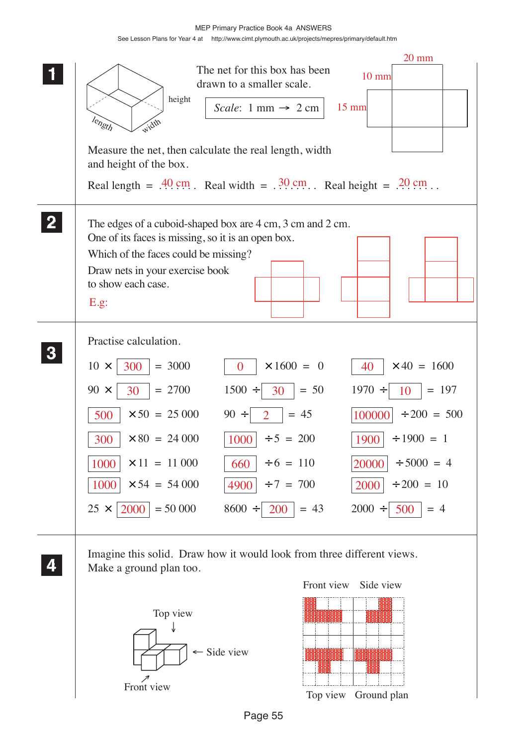MEP Primary Practice Book 4a ANSWERS See Lesson Plans for Year 4 at http://www.cimt.plymouth.ac.uk/projects/mepres/primary/default.htm

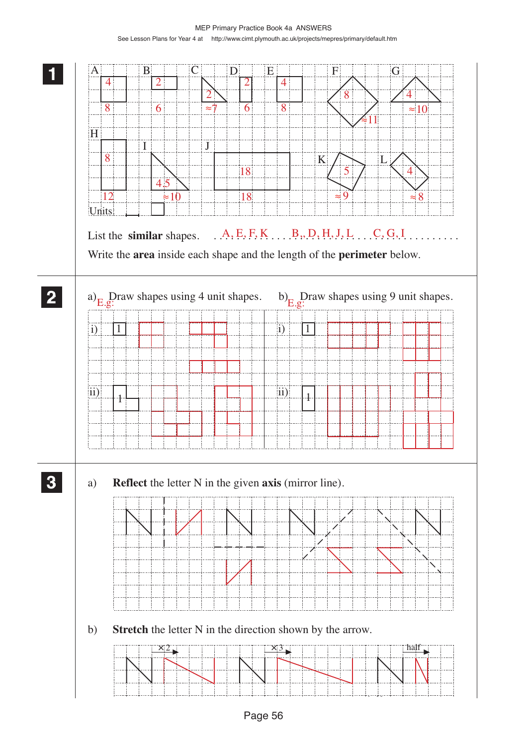MEP Primary Practice Book 4a ANSWERS See Lesson Plans for Year 4 at http://www.cimt.plymouth.ac.uk/projects/mepres/primary/default.htm

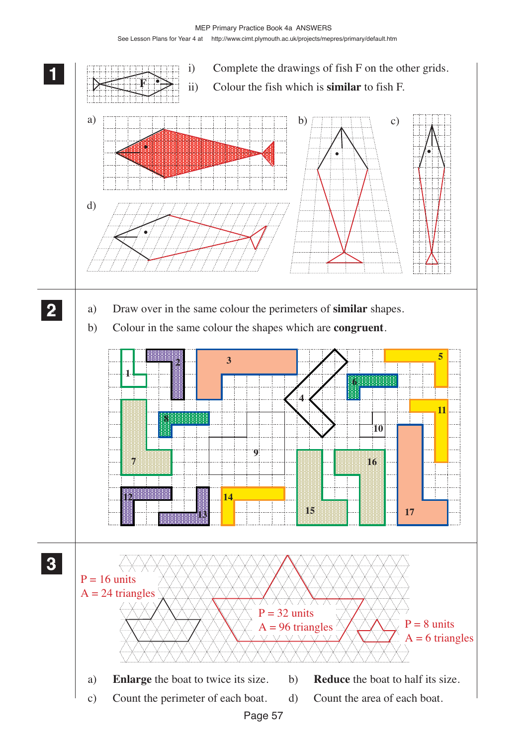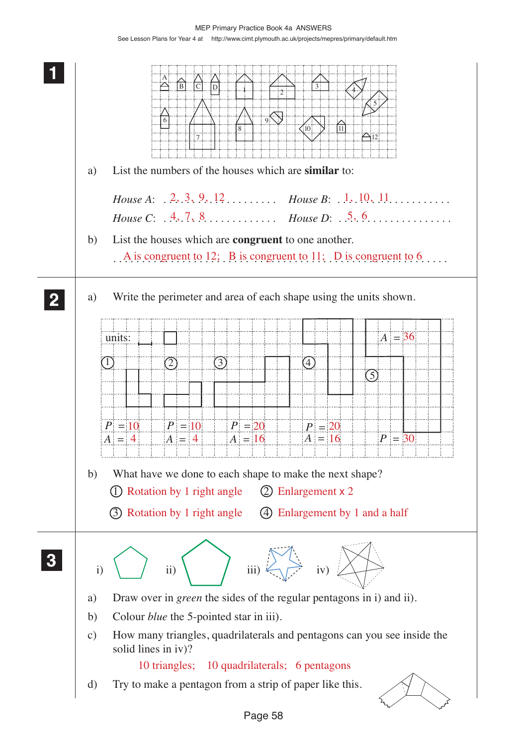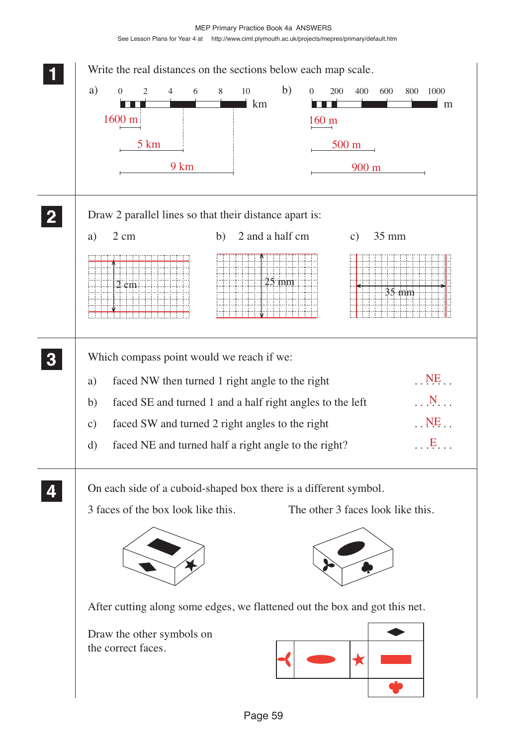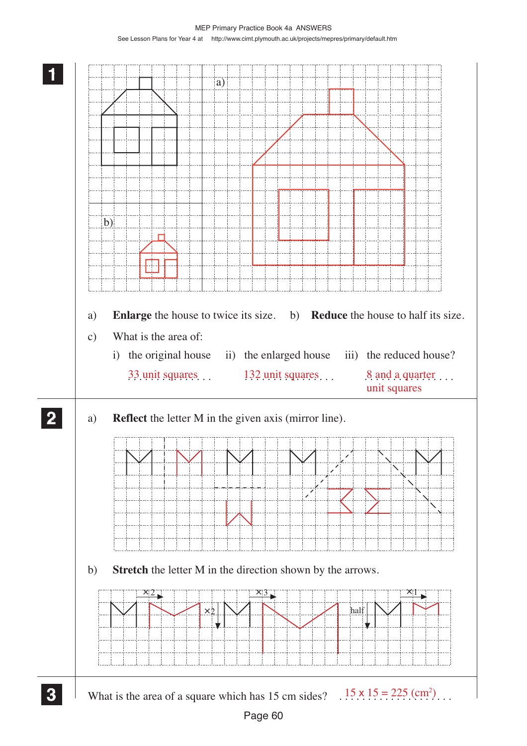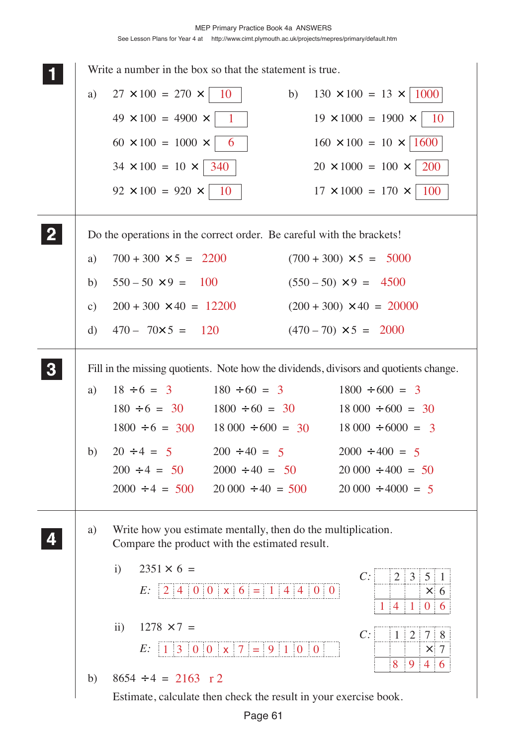|              |               | Write a number in the box so that the statement is true.                                                                                      |
|--------------|---------------|-----------------------------------------------------------------------------------------------------------------------------------------------|
|              | a)            | $27 \times 100 = 270 \times$<br>10<br>$130 \times 100 = 13 \times  1000 $<br>b)                                                               |
|              |               | $49 \times 100 = 4900 \times$<br>$19 \times 1000 = 1900 \times$<br>$\mathbf{1}$<br>10                                                         |
|              |               | $160 \times 100 = 10 \times  1600 $<br>$60 \times 100 = 1000 \times$<br>6                                                                     |
|              |               | $20 \times 1000 = 100 \times$<br>200<br>$34 \times 100 = 10 \times   340$                                                                     |
|              |               | 100<br>$92 \times 100 = 920 \times$<br>$17 \times 1000 = 170 \times$<br>10                                                                    |
| $\mathbf{2}$ |               | Do the operations in the correct order. Be careful with the brackets!                                                                         |
|              | a)            | $700 + 300 \times 5 = 2200$<br>$(700 + 300) \times 5 = 5000$                                                                                  |
|              | b)            | $550 - 50 \times 9 = 100$<br>$(550 - 50) \times 9 = 4500$                                                                                     |
|              | $\mathbf{c})$ | $200 + 300 \times 40 = 12200$<br>$(200 + 300) \times 40 = 20000$                                                                              |
|              | d)            | $470 - 70 \times 5 = 120$<br>$(470-70) \times 5 = 2000$                                                                                       |
| 3            |               | Fill in the missing quotients. Note how the dividends, divisors and quotients change.                                                         |
|              | a)            | $18 \div 6 = 3$<br>$180 \div 60 = 3$<br>$1800 \div 600 = 3$                                                                                   |
|              |               | $180 \div 6 = 30$ $1800 \div 60 = 30$<br>$18\,000 \div 600 = 30$                                                                              |
|              |               | $1800 \div 6 = 300$ $18\,000 \div 600 = 30$<br>$18\,000 \div 6000 = 3$                                                                        |
|              | b)            | $200 \div 40 = 5$<br>$2000 \div 400 = 5$<br>$20 \div 4 = 5$                                                                                   |
|              |               | $200 \div 4 = 50$<br>$2000 \div 40 = 50$<br>$20\,000 \div 400 = 50$<br>$2000 \div 4 = 500$ $20\,000 \div 40 = 500$<br>$20\,000 \div 4000 = 5$ |
|              | a)            | Write how you estimate mentally, then do the multiplication.<br>Compare the product with the estimated result.                                |
|              |               | $2351 \times 6 =$<br>$\mathbf{i}$<br>C:<br> 2 3 5 1<br>E: $2400 \times 6 = 14400$                                                             |
|              |               | $\times 6$<br>$1 \t4 \t1 \t0 \t6$                                                                                                             |
|              |               | $1278 \times 7 =$<br>$\rm ii)$<br>C:<br>$1 \ 2 \ 7 \ 8$                                                                                       |
|              |               | E: $ 1 3 0 0 \times  7  =  9 1 0 0 $<br>$\tau$<br>$\times$                                                                                    |
|              | b)            | 946<br>8<br>$8654 \div 4 = 2163 \text{ r } 2$                                                                                                 |
|              |               | Estimate, calculate then check the result in your exercise book.                                                                              |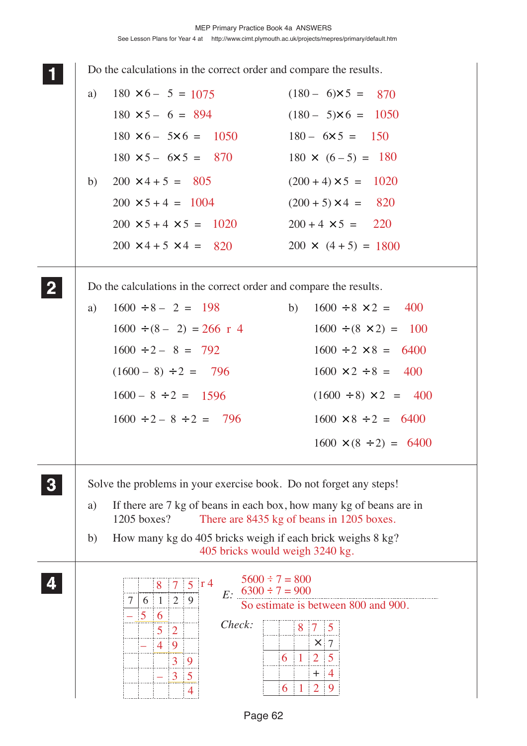|              |    | Do the calculations in the correct order and compare the results.                                                                                                                                                                                 |                                                                                                                                                                  |
|--------------|----|---------------------------------------------------------------------------------------------------------------------------------------------------------------------------------------------------------------------------------------------------|------------------------------------------------------------------------------------------------------------------------------------------------------------------|
|              | a) | $180 \times 6 - 5 = 1075$                                                                                                                                                                                                                         | $(180 - 6) \times 5 = 870$                                                                                                                                       |
|              |    | $180 \times 5 - 6 = 894$                                                                                                                                                                                                                          | $(180 - 5) \times 6 = 1050$                                                                                                                                      |
|              |    | $180 \times 6 - 5 \times 6 = 1050$                                                                                                                                                                                                                | $180 - 6 \times 5 = 150$                                                                                                                                         |
|              |    | $180 \times 5 - 6 \times 5 = 870$                                                                                                                                                                                                                 | $180 \times (6-5) = 180$                                                                                                                                         |
|              | b) | $200 \times 4 + 5 = 805$                                                                                                                                                                                                                          | $(200 + 4) \times 5 = 1020$                                                                                                                                      |
|              |    | $200 \times 5 + 4 = 1004$                                                                                                                                                                                                                         | $(200 + 5) \times 4 = 820$                                                                                                                                       |
|              |    | $200 \times 5 + 4 \times 5 = 1020$                                                                                                                                                                                                                | $200 + 4 \times 5 = 220$                                                                                                                                         |
|              |    | $200 \times 4 + 5 \times 4 = 820$                                                                                                                                                                                                                 | $200 \times (4+5) = 1800$                                                                                                                                        |
| $\mathbf{2}$ |    | Do the calculations in the correct order and compare the results.                                                                                                                                                                                 |                                                                                                                                                                  |
|              | a) | $1600 \div 8 - 2 = 198$                                                                                                                                                                                                                           | $1600 \div 8 \times 2 = 400$<br>b)                                                                                                                               |
|              |    | $1600 \div (8 - 2) = 266$ r 4                                                                                                                                                                                                                     | $1600 \div (8 \times 2) = 100$                                                                                                                                   |
|              |    | $1600 \div 2 - 8 = 792$                                                                                                                                                                                                                           | $1600 \div 2 \times 8 = 6400$                                                                                                                                    |
|              |    | $(1600 - 8) \div 2 = 796$                                                                                                                                                                                                                         | $1600 \times 2 \div 8 = 400$                                                                                                                                     |
|              |    | $1600 - 8 \div 2 = 1596$                                                                                                                                                                                                                          | $(1600 \div 8) \times 2 = 400$                                                                                                                                   |
|              |    | $1600 \div 2 - 8 \div 2 = 796$                                                                                                                                                                                                                    | $1600 \times 8 \div 2 = 6400$                                                                                                                                    |
|              |    |                                                                                                                                                                                                                                                   | $1600 \times (8 \div 2) = 6400$                                                                                                                                  |
|              |    | Solve the problems in your exercise book. Do not forget any steps!                                                                                                                                                                                |                                                                                                                                                                  |
|              | a) | If there are 7 kg of beans in each box, how many kg of beans are in<br>1205 boxes?                                                                                                                                                                | There are 8435 kg of beans in 1205 boxes.                                                                                                                        |
|              | b) | How many kg do 405 bricks weigh if each brick weighs 8 kg?<br>405 bricks would weigh 3240 kg.                                                                                                                                                     |                                                                                                                                                                  |
|              |    | $5600 \div 7 = 800$<br>$5 \text{ r}$ 4<br>$\overline{7}$<br>8<br>$E: 6300 \div 7 = 900$<br>$\mid 2$<br>$\mathbf{1}$<br>9<br>6<br>7<br>$\mathbf{5}$<br>6<br>Check:<br>$5\quad 2$<br>4 9<br>3<br>$\overline{9}$<br>$\overline{3}$<br>$\overline{5}$ | So estimate is between 800 and 900.<br>8 7<br>$\overline{5}$<br>-7<br>$\times$<br>$\overline{2}$<br>5<br>6<br>$\overline{1}$<br>$^+$<br>4<br>$\overline{2}$<br>6 |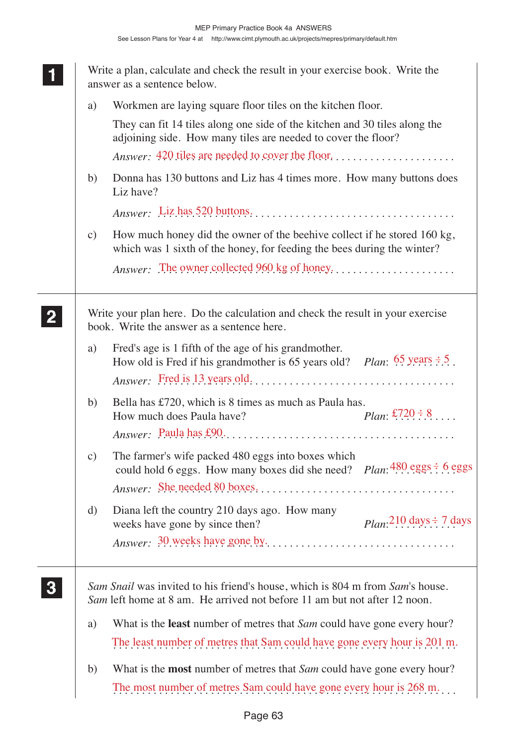Write a plan, calculate and check the result in your exercise book. Write the answer as a sentence below. a) Workmen are laying square floor tiles on the kitchen floor. They can fit 14 tiles along one side of the kitchen and 30 tiles along the adjoining side. How many tiles are needed to cover the floor? *Answer:* . . . . . . . . . . . . . . . . . . . . . . . . . . . . . . . . . . . . . . . . . . . . . . . . . . . . 420 tiles are needed to cover the floor. b) Donna has 130 buttons and Liz has 4 times more. How many buttons does Liz have? *Answer:* . . . . . . . . . . . . . . . . . . . . . . . . . . . . . . . . . . . . . . . . . . . . . . . . . . . . Liz has 520 buttons. c) How much honey did the owner of the beehive collect if he stored 160 kg, which was 1 sixth of the honey, for feeding the bees during the winter? *Answer:* . . . . . . . . . . . . . . . . . . . . . . . . . . . . . . . . . . . . . . . . . . . . . . . . . . . . The owner collected 960 kg of honey. Write your plan here. Do the calculation and check the result in your exercise book. Write the answer as a sentence here. a) Fred's age is 1 fifth of the age of his grandmother. Fred s age is 1 min of the age of his grandmother.<br>How old is Fred if his grandmother is 65 years old? *Plan*:  $\frac{65}{5}$  years  $\div$  5. *Answer:* . . . . . . . . . . . . . . . . . . . . . . . . . . . . . . . . . . . . . . . . . . . . . . . . . . . . Fred is 13 years old. b) Bella has £720, which is 8 times as much as Paula has. How much does Paula have? *Answer:* . . . . . . . . . . . . . . . . . . . . . . . . . . . . . . . . . . . . . . . . . . . . . . . . . . . . Paula has £90. c) The farmer's wife packed 480 eggs into boxes which The farmer's wife packed 480 eggs into boxes which<br>could hold 6 eggs. How many boxes did she need? *Plan*:  $\frac{480 \text{ eggs}}{100 \text{ eggs}}$ *Answer:* . . . . . . . . . . . . . . . . . . . . . . . . . . . . . . . . . . . . . . . . . . . . . . . . . . . . She needed 80 boxes. d) Diana left the country 210 days ago. How many weeks have gone by since then? *Answer:* . . . . . . . . . . . . . . . . . . . . . . . . . . . . . . . . . . . . . . . . . . . . . . . . . . . . 30 weeks have gone by. *Sam Snail* was invited to his friend's house, which is 804 m from *Sam*'s house. *Sam* left home at 8 am. He arrived not before 11 am but not after 12 noon. a) What is the **least** number of metres that *Sam* could have gone every hour? The least number of metres that Sam could have gone every hour is 201 m. b) What is the **most** number of metres that *Sam* could have gone every hour? The most number of metres Sam could have gone every hour is 268 m... **1 11 11 2 22 22 3 33 33** £720  $\div$  8  $210 \text{ days} \div 7 \text{ days}$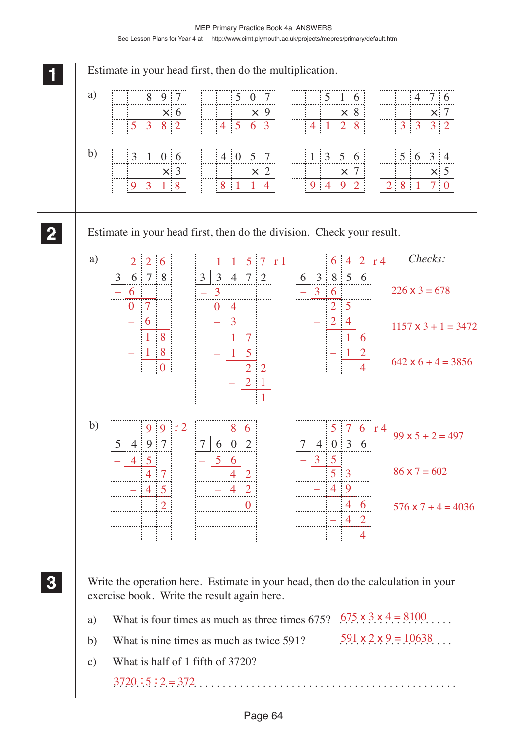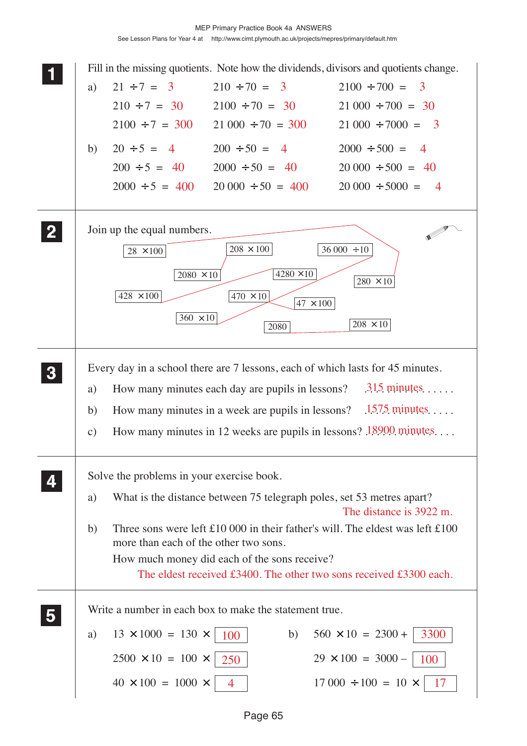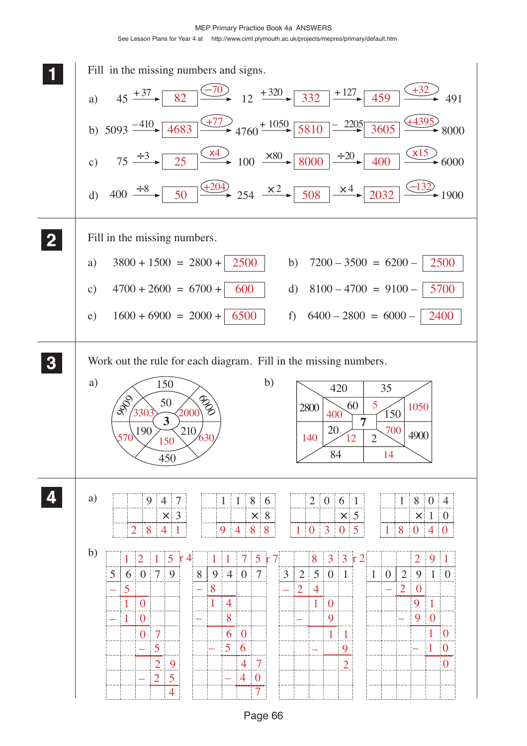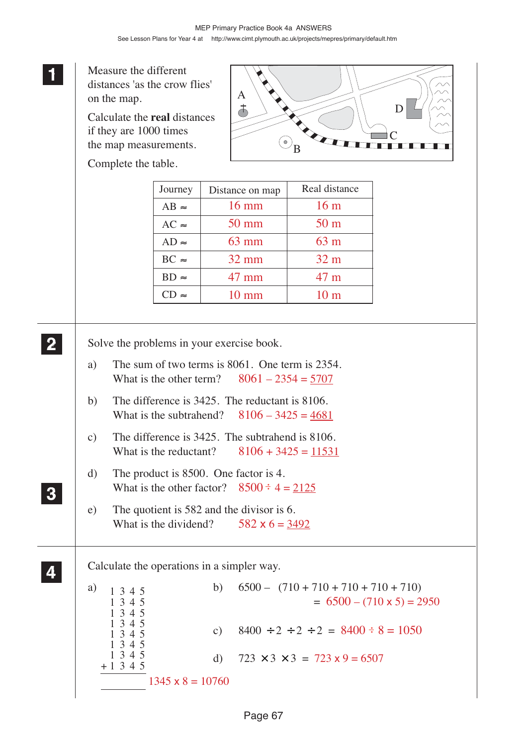**1 11** Measure the different **11** distances 'as the crow flies' A on the map.  $\overline{d}$ D Calculate the **real** distances if they are 1000 times  $\mathcal{C}_{0}^{(n)}$  $\odot$ <sub>B</sub> the map measurements. Complete the table. Journey | Distance on map | Real distance 16 mm 16 m  $AB \approx$ 50 mm 50 m  $AC \approx$ 63 mm 63 m  $AD \approx$  $BC \approx$ 32 mm 32 m  $BD \approx$ 47 mm 47 m  $CD \approx$ 10 mm 10 m **2 22** Solve the problems in your exercise book. **22** a) The sum of two terms is 8061. One term is 2354. What is the other term?  $8061 - 2354 = 5707$ b) The difference is 3425. The reductant is 8106. What is the subtrahend?  $8106 - 3425 = 4681$ c) The difference is 3425. The subtrahend is 8106. What is the reductant?  $8106 + 3425 = 11531$ d) The product is 8500. One factor is 4. What is the other factor?  $8500 \div 4 = 2125$ **3 33 33** e) The quotient is 582 and the divisor is 6. What is the dividend?  $582 \times 6 = 3492$ **4 44** Calculate the operations in a simpler way. **44** a)  $1, 3, 4, 5$  b)  $6500 - (710 + 710 + 710 + 710 + 710)$ 1345  $= 6500 - (710 \times 5) = 2950$ 1345 1345 1345 c)  $8400 \div 2 \div 2 \div 2 = 8400 \div 8 = 1050$ 1345 1345 1345 d)  $723 \times 3 \times 3 = 723 \times 9 = 6507$ + 1345  $1345 \times 8 = 10760$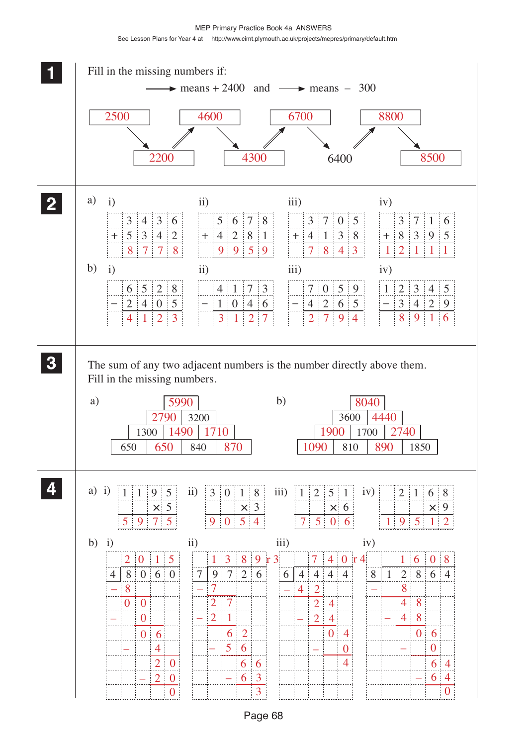MEP Primary Practice Book 4a ANSWERS See Lesson Plans for Year 4 at http://www.cimt.plymouth.ac.uk/projects/mepres/primary/default.htm

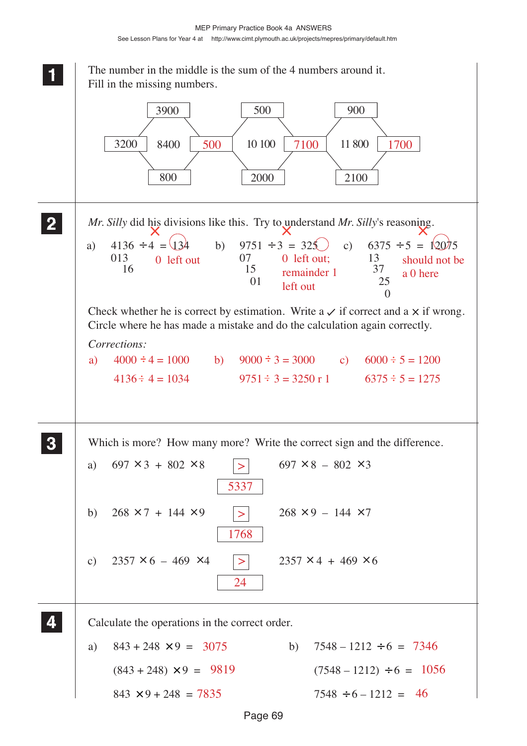

Page 69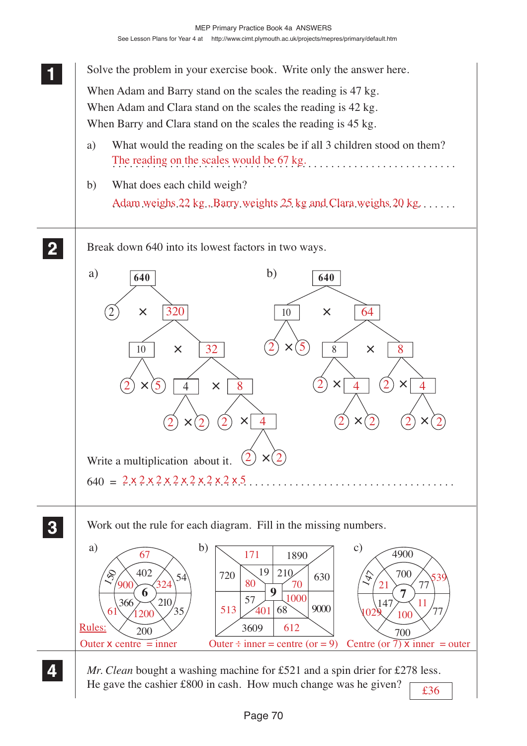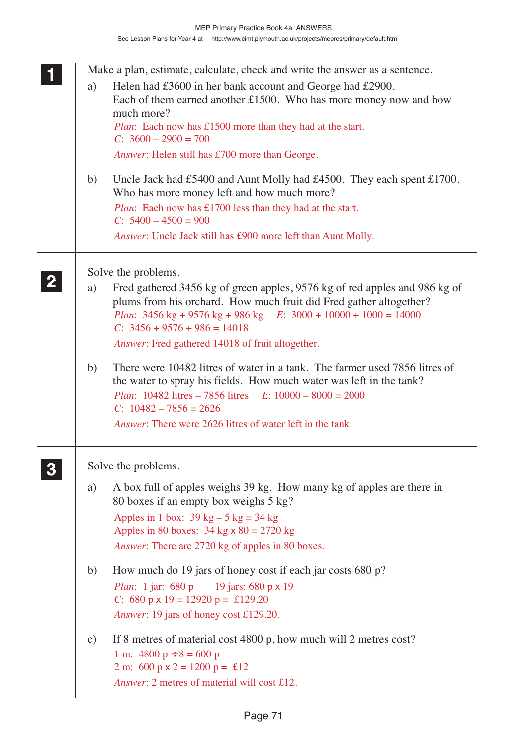| a)            | Make a plan, estimate, calculate, check and write the answer as a sentence.<br>Helen had £3600 in her bank account and George had £2900.<br>Each of them earned another $£1500$ . Who has more money now and how<br>much more?<br><i>Plan</i> : Each now has £1500 more than they had at the start.<br>$C: 3600 - 2900 = 700$<br>Answer: Helen still has £700 more than George. |
|---------------|---------------------------------------------------------------------------------------------------------------------------------------------------------------------------------------------------------------------------------------------------------------------------------------------------------------------------------------------------------------------------------|
| b)            | Uncle Jack had £5400 and Aunt Molly had £4500. They each spent £1700.<br>Who has more money left and how much more?<br><i>Plan</i> : Each now has £1700 less than they had at the start.<br>$C: 5400 - 4500 = 900$<br>Answer: Uncle Jack still has £900 more left than Aunt Molly.                                                                                              |
|               | Solve the problems.                                                                                                                                                                                                                                                                                                                                                             |
| a)            | Fred gathered 3456 kg of green apples, 9576 kg of red apples and 986 kg of<br>plums from his orchard. How much fruit did Fred gather altogether?<br><i>Plan</i> : $3456 \text{ kg} + 9576 \text{ kg} + 986 \text{ kg}$ <i>E</i> : $3000 + 10000 + 1000 = 14000$<br>$C: 3456 + 9576 + 986 = 14018$<br>Answer: Fred gathered 14018 of fruit altogether.                           |
| b)            | There were 10482 litres of water in a tank. The farmer used 7856 litres of<br>the water to spray his fields. How much water was left in the tank?<br><i>Plan</i> : $10482$ litres $-7856$ litres $E: 10000 - 8000 = 2000$<br>$C: 10482 - 7856 = 2626$<br><i>Answer</i> : There were 2626 litres of water left in the tank.                                                      |
|               | Solve the problems.                                                                                                                                                                                                                                                                                                                                                             |
| a)            | A box full of apples weighs 39 kg. How many kg of apples are there in<br>80 boxes if an empty box weighs 5 kg?<br>Apples in 1 box: $39 \text{ kg} - 5 \text{ kg} = 34 \text{ kg}$<br>Apples in 80 boxes: $34 \text{ kg} \times 80 = 2720 \text{ kg}$<br>Answer: There are 2720 kg of apples in 80 boxes.                                                                        |
| b)            | How much do 19 jars of honey cost if each jar costs 680 p?<br><i>Plan</i> : 1 jar: 680 p 19 jars: 680 p x 19<br>C: 680 p x 19 = 12920 p = £129.20<br>Answer: 19 jars of honey cost £129.20.                                                                                                                                                                                     |
| $\mathbf{c})$ | If 8 metres of material cost 4800 p, how much will 2 metres cost?<br>1 m: $4800 p \div 8 = 600 p$<br>2 m: 600 p x 2 = 1200 p = £12<br>Answer: 2 metres of material will cost £12.                                                                                                                                                                                               |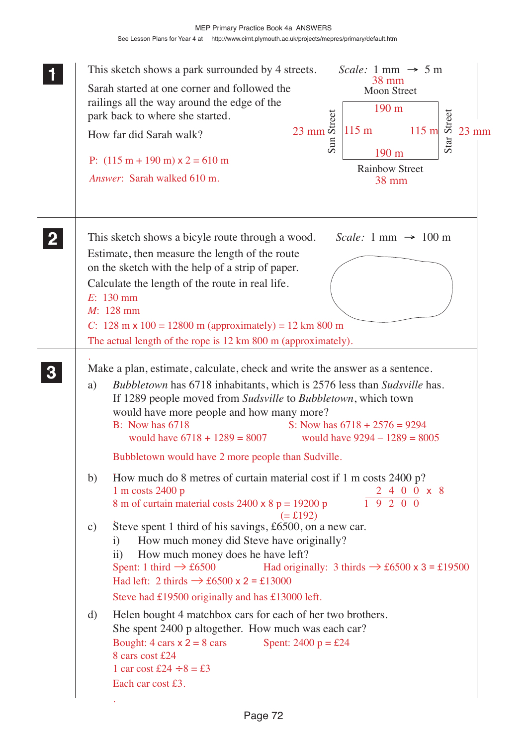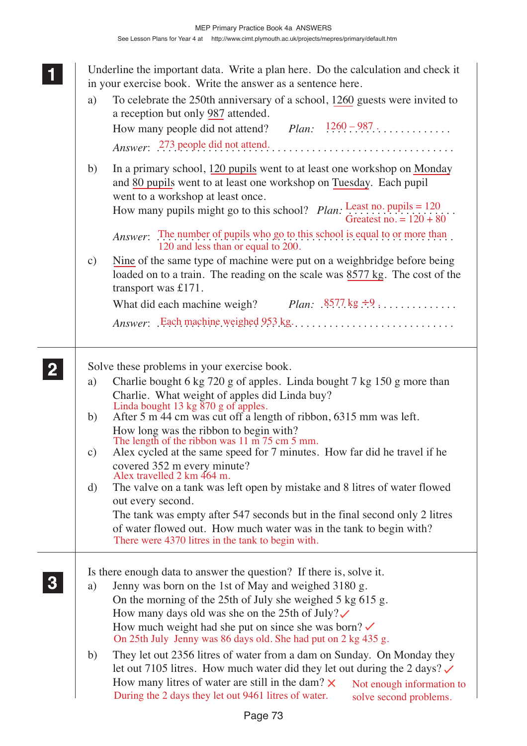**1 11**

**2 22 22**

**3 33 33**

**<sup>11</sup>** Underline the important data. Write a plan here. Do the calculation and check it in your exercise book. Write the answer as a sentence here.

| a)                  | To celebrate the 250th anniversary of a school, 1260 guests were invited to<br>a reception but only 987 attended.<br>How many people did not attend? $Plan:$ $\frac{1260-987}{}$<br><i>Answer</i> : 273 people did not attend.                                                                                                                                                                |
|---------------------|-----------------------------------------------------------------------------------------------------------------------------------------------------------------------------------------------------------------------------------------------------------------------------------------------------------------------------------------------------------------------------------------------|
| b)                  | In a primary school, 120 pupils went to at least one workshop on Monday<br>and 80 pupils went to at least one workshop on Tuesday. Each pupil<br>went to a workshop at least once.<br>How many pupils might go to this school? <i>Plan</i> : $\frac{\text{Least no. pupils}}{\text{Greatest no.}} = 120$ .<br>Greatest no. = $120 + 80$ .                                                     |
| $\mathbf{c})$       | <i>Answer</i> : The number of pupils who go to this school is equal to or more than<br>120 and less than or equal to 200.<br>Nine of the same type of machine were put on a weighbridge before being<br>loaded on to a train. The reading on the scale was 8577 kg. The cost of the<br>transport was £171.<br>What did each machine weigh? $Plan: .8577 \text{ kg} \div 9 \dots \dots \dots$  |
|                     | Solve these problems in your exercise book.                                                                                                                                                                                                                                                                                                                                                   |
| a)                  | Charlie bought 6 kg 720 g of apples. Linda bought 7 kg 150 g more than<br>Charlie. What weight of apples did Linda buy?<br>Linda bought 13 kg 870 g of apples.                                                                                                                                                                                                                                |
| b)<br>$\mathbf{c})$ | After 5 m 44 cm was cut off a length of ribbon, 6315 mm was left.<br>How long was the ribbon to begin with?<br>The length of the ribbon was 11 m 75 cm 5 mm.<br>Alex cycled at the same speed for 7 minutes. How far did he travel if he                                                                                                                                                      |
|                     | covered 352 m every minute?<br>Alex travelled 2 km 464 m.                                                                                                                                                                                                                                                                                                                                     |
| d)                  | The valve on a tank was left open by mistake and 8 litres of water flowed<br>out every second.                                                                                                                                                                                                                                                                                                |
|                     | The tank was empty after 547 seconds but in the final second only 2 litres<br>of water flowed out. How much water was in the tank to begin with?<br>There were 4370 litres in the tank to begin with.                                                                                                                                                                                         |
| a)                  | Is there enough data to answer the question? If there is, solve it.<br>Jenny was born on the 1st of May and weighed 3180 g.<br>On the morning of the 25th of July she weighed 5 kg 615 g.<br>How many days old was she on the 25th of July? $\checkmark$<br>How much weight had she put on since she was born? $\checkmark$<br>On 25th July Jenny was 86 days old. She had put on 2 kg 435 g. |
| b)                  | They let out 2356 litres of water from a dam on Sunday. On Monday they<br>let out 7105 litres. How much water did they let out during the 2 days? $\checkmark$<br>How many litres of water are still in the dam? $\times$<br>Not enough information to<br>During the 2 days they let out 9461 litres of water.<br>solve second problems.                                                      |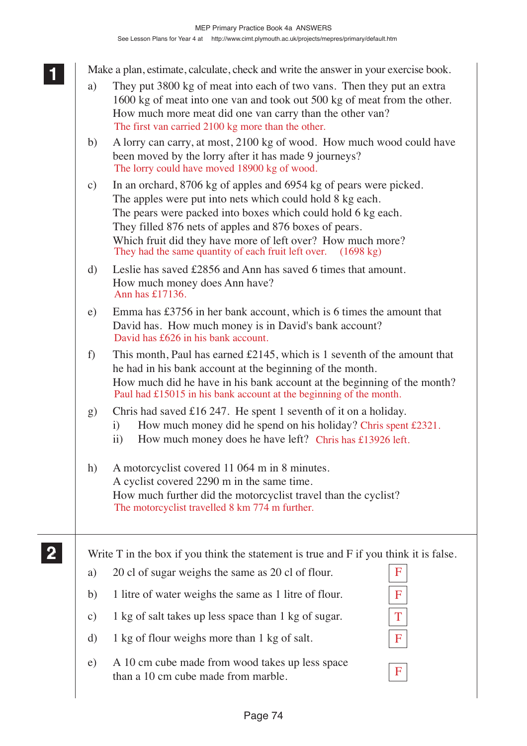Make a plan, estimate, calculate, check and write the answer in your exercise book.

- a) They put 3800 kg of meat into each of two vans. Then they put an extra 1600 kg of meat into one van and took out 500 kg of meat from the other. How much more meat did one van carry than the other van? The first van carried 2100 kg more than the other.
- b) A lorry can carry, at most, 2100 kg of wood. How much wood could have been moved by the lorry after it has made 9 journeys? The lorry could have moved 18900 kg of wood.
- c) In an orchard, 8706 kg of apples and 6954 kg of pears were picked. The apples were put into nets which could hold 8 kg each. The pears were packed into boxes which could hold 6 kg each. They filled 876 nets of apples and 876 boxes of pears. Which fruit did they have more of left over? How much more? They had the same quantity of each fruit left over. (1698 kg)
- d) Leslie has saved £2856 and Ann has saved 6 times that amount. How much money does Ann have? Ann has £17136.
- e) Emma has £3756 in her bank account, which is 6 times the amount that David has. How much money is in David's bank account? David has £626 in his bank account.
- f) This month, Paul has earned £2145, which is 1 seventh of the amount that he had in his bank account at the beginning of the month. How much did he have in his bank account at the beginning of the month? Paul had £15015 in his bank account at the beginning of the month.
- g) Chris had saved £16 247. He spent 1 seventh of it on a holiday.
	- i) How much money did he spend on his holiday? Chris spent £2321.
	- ii) How much money does he have left? Chris has £13926 left.
- h) A motorcyclist covered 11 064 m in 8 minutes. A cyclist covered 2290 m in the same time. How much further did the motorcyclist travel than the cyclist? The motorcyclist travelled 8 km 774 m further.

**2 22 22**

**1 11**

Write T in the box if you think the statement is true and F if you think it is false.

| a)              | 20 cl of sugar weighs the same as 20 cl of flour.                                      | F |
|-----------------|----------------------------------------------------------------------------------------|---|
| b)              | 1 litre of water weighs the same as 1 litre of flour.                                  | F |
| $\mathcal{C}$ ) | 1 kg of salt takes up less space than 1 kg of sugar.                                   |   |
| d)              | 1 kg of flour weighs more than 1 kg of salt.                                           | F |
| e)              | A 10 cm cube made from wood takes up less space<br>than a 10 cm cube made from marble. | F |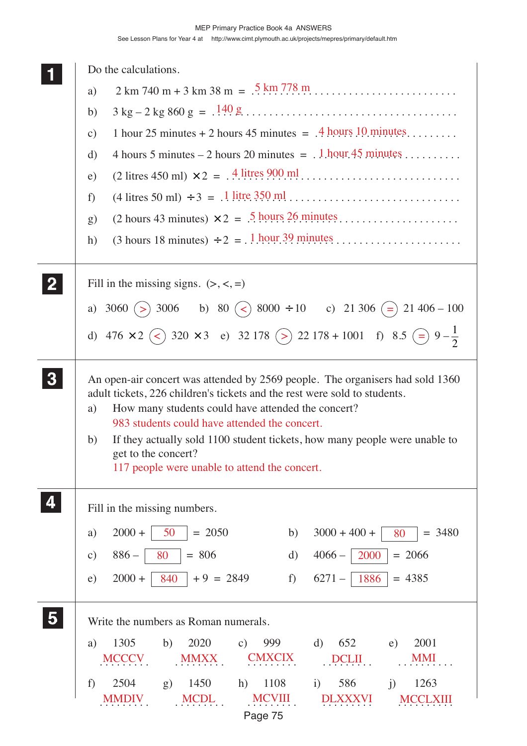| Do the calculations.                                                                                                                                       |
|------------------------------------------------------------------------------------------------------------------------------------------------------------|
| $2 \text{ km } 740 \text{ m} + 3 \text{ km } 38 \text{ m} = .5 \text{ km } .778 \text{ m}$<br>a)                                                           |
| b)                                                                                                                                                         |
| 1 hour 25 minutes + 2 hours 45 minutes = $.4$ hours 10 minutes<br>$\mathbf{c})$                                                                            |
| 4 hours 5 minutes – 2 hours 20 minutes = $.1$ hour 45 minutes<br>d)                                                                                        |
| $(2 \text{ litres } 450 \text{ ml}) \times 2 = .4 \cdot \frac{4 \text{ litres } 900 \text{ ml}}{1000 \text{ ml}}$<br>e)                                    |
| $(4 \text{ litres } 50 \text{ ml}) \div 3 = .1 \text{ litre } 350 \text{ ml} \dots \dots \dots \dots \dots \dots \dots \dots \dots \dots$<br>f)            |
| $(2 \text{ hours } 43 \text{ minutes}) \times 2 = .5 \text{ hours } 26 \text{ minutes} \dots \dots \dots \dots \dots \dots$<br>g)                          |
| $(3 \text{ hours } 18 \text{ minutes}) \div 2 = .1 \text{ hour.}39 \text{ minutes} \dots \dots \dots \dots \dots \dots \dots$<br>h)                        |
|                                                                                                                                                            |
| Fill in the missing signs. $(\ge, \le, =)$                                                                                                                 |
| a) 3060 (> 3006 b) 80 (< $\geq$ 8000 ÷ 10 c) 21 306 (= 21 406 – 100                                                                                        |
|                                                                                                                                                            |
| d) 476 × 2 $\left(\right)$ 320 × 3 e) 32 178 $\left(\right)$ 22 178 + 1001 f) 8.5 $\left(\right)$ 9 - $\frac{1}{2}$                                        |
|                                                                                                                                                            |
| An open-air concert was attended by 2569 people. The organisers had sold 1360<br>adult tickets, 226 children's tickets and the rest were sold to students. |
| How many students could have attended the concert?<br>a)                                                                                                   |
| 983 students could have attended the concert.<br>If they actually sold 1100 student tickets, how many people were unable to<br>b)                          |
| get to the concert?                                                                                                                                        |
| 117 people were unable to attend the concert.                                                                                                              |
|                                                                                                                                                            |
| Fill in the missing numbers.                                                                                                                               |
| $2000 +$<br>$= 2050$<br>50<br>$3000 + 400 +$<br>$= 3480$<br>b)<br>a)<br>80                                                                                 |
| 2000<br>$886 -$<br>$= 806$<br>$4066-$<br>$= 2066$<br>80<br>d)<br>$\mathbf{c})$                                                                             |
| $f$ )<br>$2000 +$<br>840<br>$+9 = 2849$<br>$6271-$<br>1886<br>$= 4385$<br>e)                                                                               |
| Write the numbers as Roman numerals.                                                                                                                       |
| 1305<br>2020<br>999<br>652<br>2001<br>b)<br>d)<br>a)<br>$\mathbf{c})$<br>e)                                                                                |
| <b>CMXCIX</b><br>MMI<br><b>MCCCV</b><br><b>MMXX</b><br><b>DCLII</b>                                                                                        |
| 1450<br>i) $586$<br>1263<br>2504<br>1108<br>j)<br>f<br>g)<br>h)                                                                                            |
| <b>MCDL</b><br><b>MCVIII</b><br>MMDIV<br><b>DLXXXVI</b><br><b>MCCLXI</b>                                                                                   |

Page 75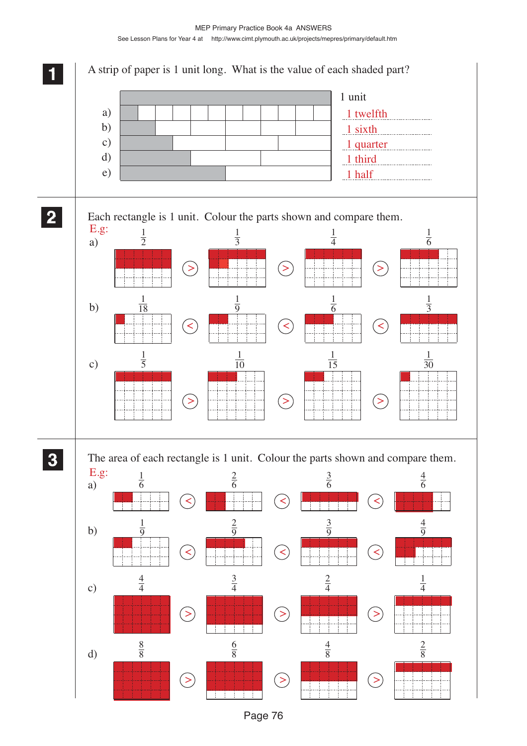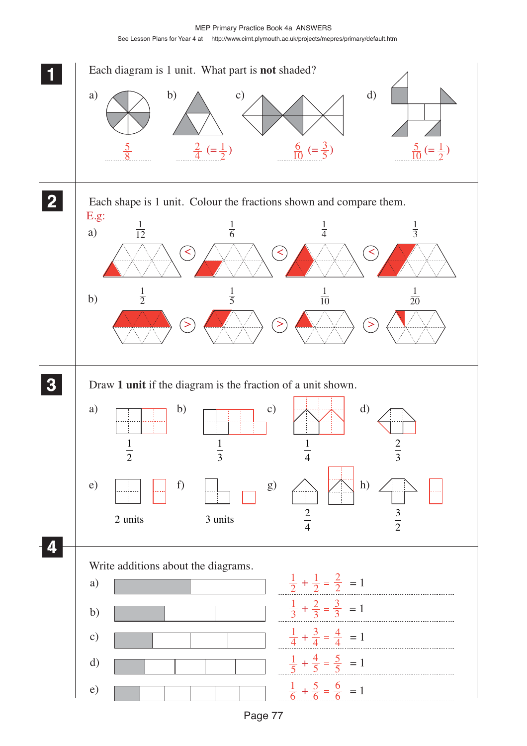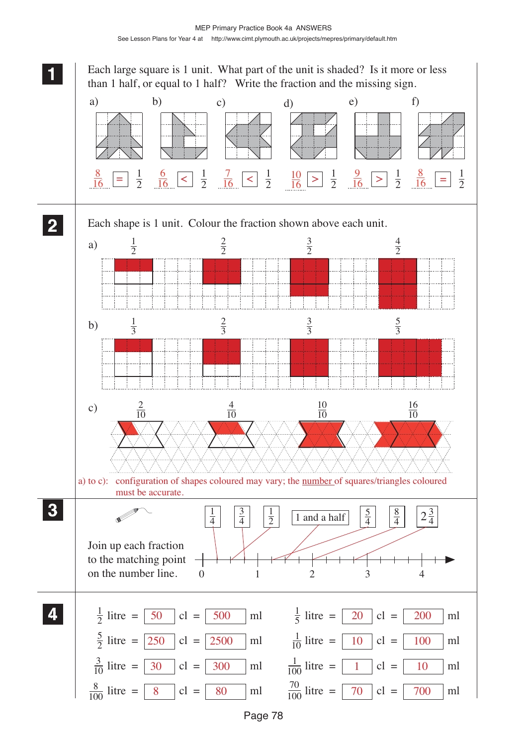**11** Each large square is 1 unit. What part of the unit is shaded? Is it more or less than 1 half, or equal to 1 half? Write the fraction and the missing sign. a) b) c) d) e) f)  $\frac{8}{16}$  =  $\frac{1}{2}$   $\frac{6}{16}$  <  $\frac{1}{2}$   $\frac{7}{16}$  <  $\frac{1}{2}$   $\frac{10}{16}$  >  $\frac{1}{2}$   $\frac{9}{16}$  >  $\frac{1}{2}$   $\frac{8}{16}$  = **22** Each shape is 1 unit. Colour the fraction shown above each unit.  $\frac{1}{2}$  $a)$   $\frac{1}{3}$  $b)$   $\frac{4}{10}$  $\frac{10}{10}$ c)  $\frac{2}{10}$  10 a) to c): configuration of shapes coloured may vary; the number of squares/triangles coloured must be accurate. **33**  $\frac{1}{4}$   $\begin{array}{|c|c|c|} \hline 3 & 1 \\ \hline \end{array}$   $\begin{array}{|c|c|} \hline 1 & \hline 1 & \hline 1 & \hline 1 & \hline 1 & \hline 1 & \hline 1 & \hline 1 & \hline 1 & \hline 1 & \hline 1 & \hline 1 & \hline 1 & \hline 1 & \hline 1 & \hline 1 & \hline 1 & \hline 1 & \hline 1 & \hline 1 & \hline 1 & \hline 1 & \hline 1 & \hline 1 & \hline 1 & \hline 1 & \hline 1 & \hline$  $\frac{1}{2}$  |  $\frac{3}{2}$  |  $\frac{1}{2}$  $\frac{1}{2}$   $2\frac{3}{4}$  V Join up each fraction to the matching point on the number line. 0 1 2 3 4 **44**  $\frac{1}{2}$  litre =  $\boxed{50}$  cl =  $\boxed{500}$  ml  $\frac{1}{5}$  litre =  $\frac{50}{5}$  cl =  $\frac{500}{5}$  ml  $\frac{1}{5}$  litre =  $\frac{20}{5}$  cl =  $\frac{200}{5}$  ml  $\frac{5}{2}$  litre =  $\boxed{250}$  cl =  $\boxed{2500}$  ml  $\frac{1}{10}$  litre =  $\boxed{10}$  cl =  $\boxed{100}$  ml  $\overline{250}$  cl =  $\overline{2500}$  ml  $\frac{1}{10}$  litre =  $\overline{10}$  cl =  $\overline{100}$   $\frac{3}{10}$  litre =  $\boxed{30}$  cl =  $\boxed{300}$  ml  $\frac{1}{100}$  litre =  $\frac{30}{100}$  cl =  $\frac{300}{300}$  ml  $\frac{1}{100}$  litre =  $\frac{1}{10}$  cl =  $\frac{1}{10}$  ml litre =  $\boxed{8}$  cl =  $\boxed{80}$  ml  $\frac{70}{100}$  litre =  $\boxed{70}$  cl =  $\boxed{700}$  ml 8 | cl = | ml  $\frac{10}{100}$  litre =  $70$  | cl =  $700$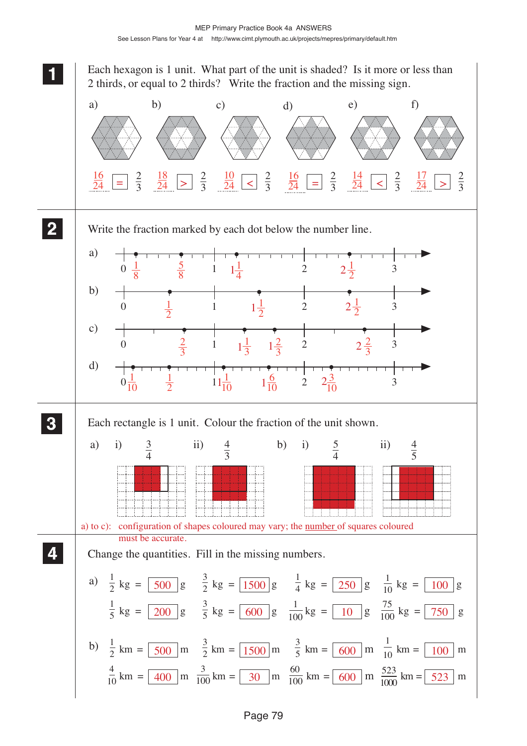**11** Each hexagon is 1 unit. What part of the unit is shaded? Is it more or less than 2 thirds, or equal to 2 thirds? Write the fraction and the missing sign. a) b) c) d) e) f)  $=$   $\frac{2}{3}$   $\frac{52}{24}$   $\geq$   $\frac{2}{3}$   $\frac{52}{24}$   $\leq$   $\frac{2}{3}$   $\frac{12}{24}$   $\geq$   $\frac{2}{3}$   $\frac{1}{24}$   $\geq$   $\frac{2}{3}$   $\frac{1}{24}$   $\geq$  **22** Write the fraction marked by each dot below the number line. a)  $1\frac{1}{4}$  2  $2\frac{1}{2}$   $0 \frac{1}{9}$   $\frac{5}{9}$   $1 \frac{1}{4}$   $2 \frac{1}{2}$   $3$  $2\frac{1}{2}$  b)  $1\frac{1}{2}$   $2\frac{1}{2}$  $\frac{1}{2}$  2  $2\frac{1}{2}$  0  $\frac{1}{2}$  1  $1\frac{1}{2}$  2  $2\frac{1}{2}$  3 c) 0  $\frac{2}{3}$  1  $1\frac{1}{3}$   $1\frac{2}{3}$  2  $2\frac{2}{3}$  3  $2\frac{2}{3}$  d)  $1\frac{6}{10}$  $\frac{1}{10}$   $\frac{1}{2}$   $11\frac{1}{10}$   $\frac{6}{10}$  2  $2\frac{3}{10}$   $0\frac{1}{10}$   $\frac{1}{2}$   $11\frac{1}{10}$   $1\frac{0}{10}$   $2\frac{25}{10}$  3 **33** Each rectangle is 1 unit. Colour the fraction of the unit shown.  $\frac{3}{4}$ a) i)  $\frac{3}{1}$  ii)  $\frac{4}{5}$  b) i)  $\frac{5}{1}$  ii) a) to c): configuration of shapes coloured may vary; the number of squares coloured must be accurate. **44** Change the quantities. Fill in the missing numbers. a)  $\frac{1}{2}$  kg =  $\boxed{500}$  g  $\frac{3}{2}$  kg =  $\boxed{1500}$  g  $\frac{1}{4}$  kg =  $\boxed{250}$  g  $\frac{1}{10}$  kg =  $\boxed{100}$  g  $\frac{1}{5}$  kg =  $\boxed{200}$  g  $\frac{3}{5}$  kg =  $\boxed{600}$  g  $\frac{1}{100}$  kg =  $\boxed{10}$  g  $\frac{75}{100}$  kg =  $\boxed{750}$  g b)  $\frac{1}{2}$  km =  $\boxed{500}$  m  $\frac{3}{2}$  km =  $\boxed{1500}$  m  $\frac{3}{5}$  km =  $\boxed{600}$  m  $\frac{1}{10}$  $\frac{3}{500}$  m  $\frac{3}{2}$  km =  $\frac{1500}{1500}$  m  $\frac{3}{5}$  km =  $\frac{600}{600}$  m  $\frac{1}{10}$  km =  $\frac{100}{100}$  m  $\frac{4}{10}$  km =  $\boxed{400}$  m  $\frac{3}{100}$  km =  $\boxed{30}$  m  $\frac{60}{100}$  km =  $\boxed{600}$  m  $\frac{523}{1000}$  km =  $\boxed{523}$  m